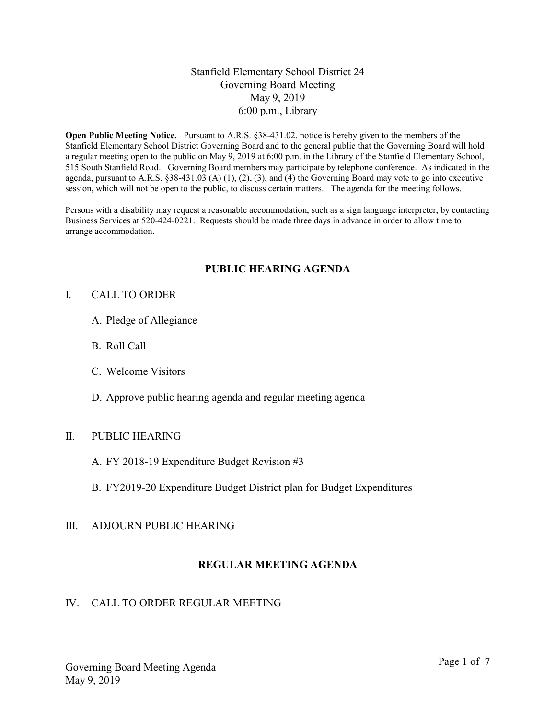# Stanfield Elementary School District 24 Governing Board Meeting May 9, 2019 6:00 p.m., Library

Open Public Meeting Notice. Pursuant to A.R.S. §38-431.02, notice is hereby given to the members of the Stanfield Elementary School District Governing Board and to the general public that the Governing Board will hold a regular meeting open to the public on May 9, 2019 at 6:00 p.m. in the Library of the Stanfield Elementary School, 515 South Stanfield Road. Governing Board members may participate by telephone conference. As indicated in the agenda, pursuant to A.R.S. §38-431.03 (A) (1), (2), (3), and (4) the Governing Board may vote to go into executive session, which will not be open to the public, to discuss certain matters. The agenda for the meeting follows.

Persons with a disability may request a reasonable accommodation, such as a sign language interpreter, by contacting Business Services at 520-424-0221. Requests should be made three days in advance in order to allow time to arrange accommodation.

# PUBLIC HEARING AGENDA

#### I. CALL TO ORDER

- A. Pledge of Allegiance
- B. Roll Call
- C. Welcome Visitors
- D. Approve public hearing agenda and regular meeting agenda

### II. PUBLIC HEARING

- A. FY 2018-19 Expenditure Budget Revision #3
- B. FY2019-20 Expenditure Budget District plan for Budget Expenditures

#### III. ADJOURN PUBLIC HEARING

# REGULAR MEETING AGENDA

#### IV. CALL TO ORDER REGULAR MEETING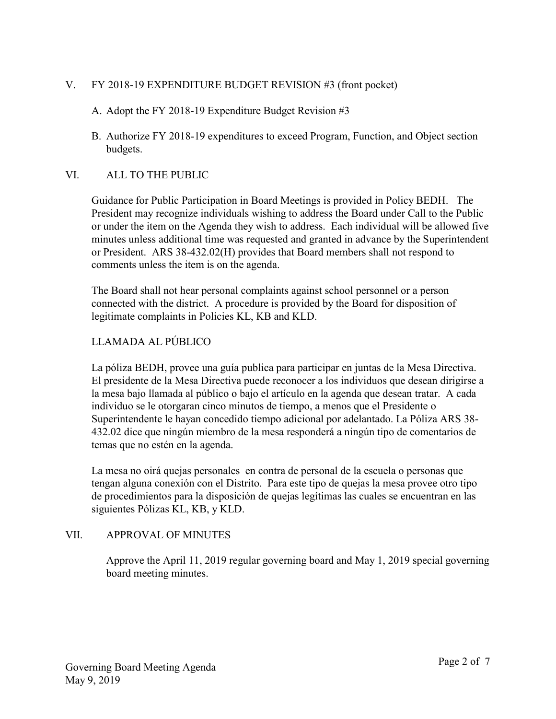# V. FY 2018-19 EXPENDITURE BUDGET REVISION #3 (front pocket)

# A. Adopt the FY 2018-19 Expenditure Budget Revision #3

B. Authorize FY 2018-19 expenditures to exceed Program, Function, and Object section budgets.

# VI. ALL TO THE PUBLIC

Guidance for Public Participation in Board Meetings is provided in Policy BEDH. The President may recognize individuals wishing to address the Board under Call to the Public or under the item on the Agenda they wish to address. Each individual will be allowed five minutes unless additional time was requested and granted in advance by the Superintendent or President. ARS 38-432.02(H) provides that Board members shall not respond to comments unless the item is on the agenda.

The Board shall not hear personal complaints against school personnel or a person connected with the district. A procedure is provided by the Board for disposition of legitimate complaints in Policies KL, KB and KLD.

# LLAMADA AL PÚBLICO

La póliza BEDH, provee una guía publica para participar en juntas de la Mesa Directiva. El presidente de la Mesa Directiva puede reconocer a los individuos que desean dirigirse a la mesa bajo llamada al público o bajo el artículo en la agenda que desean tratar. A cada individuo se le otorgaran cinco minutos de tiempo, a menos que el Presidente o Superintendente le hayan concedido tiempo adicional por adelantado. La Póliza ARS 38- 432.02 dice que ningún miembro de la mesa responderá a ningún tipo de comentarios de temas que no estén en la agenda.

La mesa no oirá quejas personales en contra de personal de la escuela o personas que tengan alguna conexión con el Distrito. Para este tipo de quejas la mesa provee otro tipo de procedimientos para la disposición de quejas legítimas las cuales se encuentran en las siguientes Pólizas KL, KB, y KLD.

# VII. APPROVAL OF MINUTES

Approve the April 11, 2019 regular governing board and May 1, 2019 special governing board meeting minutes.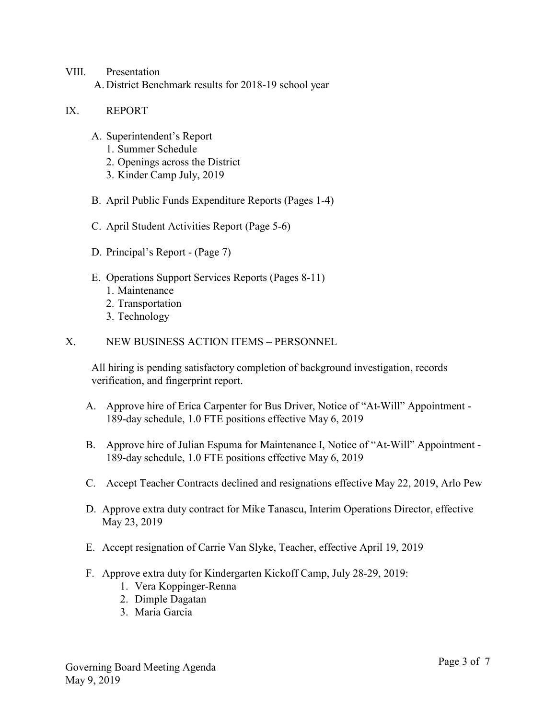### VIII. Presentation A. District Benchmark results for 2018-19 school year

#### IX. REPORT

- A. Superintendent's Report
	- 1. Summer Schedule
	- 2. Openings across the District
	- 3. Kinder Camp July, 2019
- B. April Public Funds Expenditure Reports (Pages 1-4)
- C. April Student Activities Report (Page 5-6)
- D. Principal's Report (Page 7)
- E. Operations Support Services Reports (Pages 8-11)
	- 1. Maintenance
	- 2. Transportation
	- 3. Technology
- X. NEW BUSINESS ACTION ITEMS PERSONNEL

All hiring is pending satisfactory completion of background investigation, records verification, and fingerprint report.

- A. Approve hire of Erica Carpenter for Bus Driver, Notice of "At-Will" Appointment 189-day schedule, 1.0 FTE positions effective May 6, 2019
- B. Approve hire of Julian Espuma for Maintenance I, Notice of "At-Will" Appointment 189-day schedule, 1.0 FTE positions effective May 6, 2019
- C. Accept Teacher Contracts declined and resignations effective May 22, 2019, Arlo Pew
- D. Approve extra duty contract for Mike Tanascu, Interim Operations Director, effective May 23, 2019
- E. Accept resignation of Carrie Van Slyke, Teacher, effective April 19, 2019
- F. Approve extra duty for Kindergarten Kickoff Camp, July 28-29, 2019:
	- 1. Vera Koppinger-Renna
	- 2. Dimple Dagatan
	- 3. Maria Garcia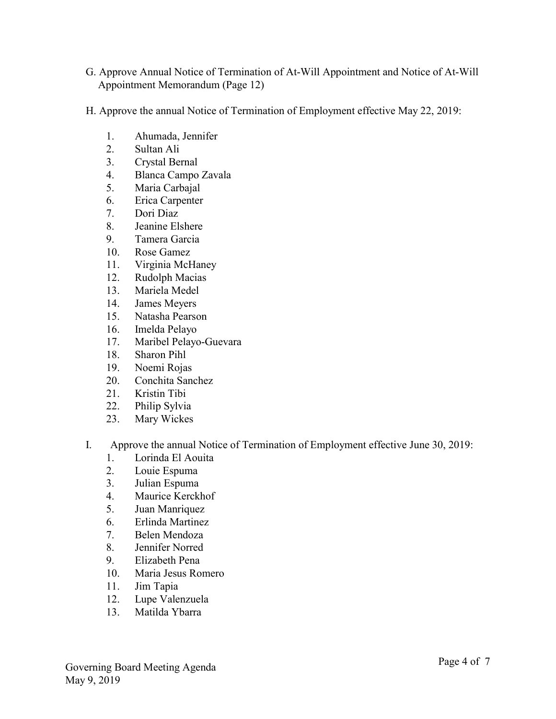- G. Approve Annual Notice of Termination of At-Will Appointment and Notice of At-Will Appointment Memorandum (Page 12)
- H. Approve the annual Notice of Termination of Employment effective May 22, 2019:
	- 1. Ahumada, Jennifer
	- 2. Sultan Ali
	- 3. Crystal Bernal
	- 4. Blanca Campo Zavala
	- 5. Maria Carbajal
	- 6. Erica Carpenter
	- 7. Dori Diaz
	- 8. Jeanine Elshere
	- 9. Tamera Garcia
	- 10. Rose Gamez
	- 11. Virginia McHaney
	- 12. Rudolph Macias
	- 13. Mariela Medel
	- 14. James Meyers
	- 15. Natasha Pearson
	- 16. Imelda Pelayo
	- 17. Maribel Pelayo-Guevara
	- 18. Sharon Pihl
	- 19. Noemi Rojas
	- 20. Conchita Sanchez
	- 21. Kristin Tibi
	- 22. Philip Sylvia
	- 23. Mary Wickes
- I. Approve the annual Notice of Termination of Employment effective June 30, 2019:
	- 1. Lorinda El Aouita
	- 2. Louie Espuma
	- 3. Julian Espuma
	- 4. Maurice Kerckhof
	- 5. Juan Manriquez
	- 6. Erlinda Martinez
	- 7. Belen Mendoza
	- 8. Jennifer Norred
	- 9. Elizabeth Pena
	- 10. Maria Jesus Romero
	- 11. Jim Tapia
	- 12. Lupe Valenzuela
	- 13. Matilda Ybarra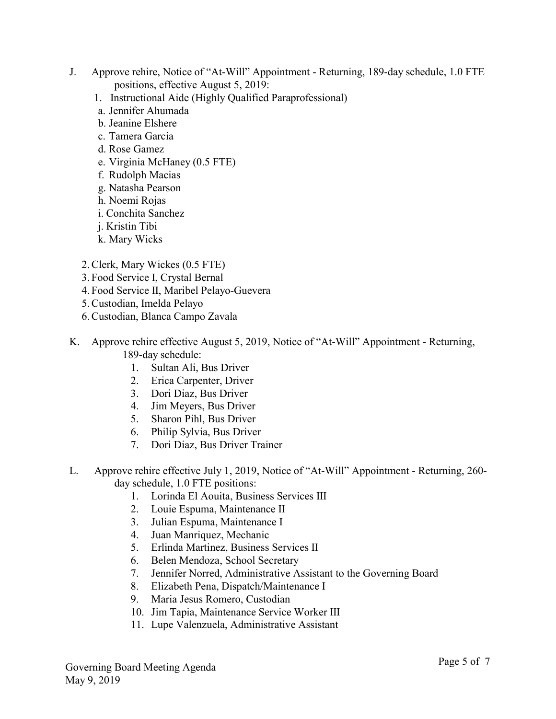- J. Approve rehire, Notice of "At-Will" Appointment Returning, 189-day schedule, 1.0 FTE positions, effective August 5, 2019:
	- 1. Instructional Aide (Highly Qualified Paraprofessional)
	- a. Jennifer Ahumada
	- b. Jeanine Elshere
	- c. Tamera Garcia
	- d. Rose Gamez
	- e. Virginia McHaney (0.5 FTE)
	- f. Rudolph Macias
	- g. Natasha Pearson
	- h. Noemi Rojas
	- i. Conchita Sanchez
	- j. Kristin Tibi
	- k. Mary Wicks
	- 2.Clerk, Mary Wickes (0.5 FTE)
	- 3. Food Service I, Crystal Bernal
	- 4. Food Service II, Maribel Pelayo-Guevera
	- 5.Custodian, Imelda Pelayo
	- 6.Custodian, Blanca Campo Zavala
- K. Approve rehire effective August 5, 2019, Notice of "At-Will" Appointment Returning, 189-day schedule:
	- 1. Sultan Ali, Bus Driver
	- 2. Erica Carpenter, Driver
	- 3. Dori Diaz, Bus Driver
	- 4. Jim Meyers, Bus Driver
	- 5. Sharon Pihl, Bus Driver
	- 6. Philip Sylvia, Bus Driver
	- 7. Dori Diaz, Bus Driver Trainer
- L. Approve rehire effective July 1, 2019, Notice of "At-Will" Appointment Returning, 260 day schedule, 1.0 FTE positions:
	- 1. Lorinda El Aouita, Business Services III
	- 2. Louie Espuma, Maintenance II
	- 3. Julian Espuma, Maintenance I
	- 4. Juan Manriquez, Mechanic
	- 5. Erlinda Martinez, Business Services II
	- 6. Belen Mendoza, School Secretary
	- 7. Jennifer Norred, Administrative Assistant to the Governing Board
	- 8. Elizabeth Pena, Dispatch/Maintenance I
	- 9. Maria Jesus Romero, Custodian
	- 10. Jim Tapia, Maintenance Service Worker III
	- 11. Lupe Valenzuela, Administrative Assistant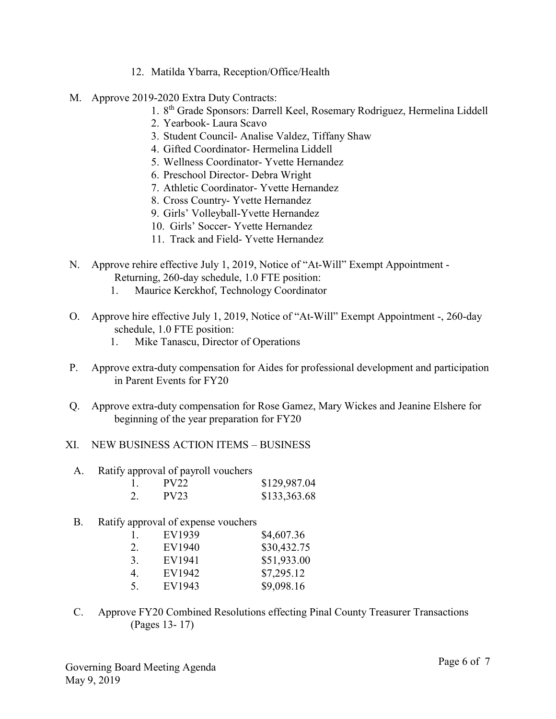- 12. Matilda Ybarra, Reception/Office/Health
- M. Approve 2019-2020 Extra Duty Contracts:
	- 1. 8<sup>th</sup> Grade Sponsors: Darrell Keel, Rosemary Rodriguez, Hermelina Liddell
	- 2. Yearbook- Laura Scavo
	- 3. Student Council- Analise Valdez, Tiffany Shaw
	- 4. Gifted Coordinator- Hermelina Liddell
	- 5. Wellness Coordinator- Yvette Hernandez
	- 6. Preschool Director- Debra Wright
	- 7. Athletic Coordinator- Yvette Hernandez
	- 8. Cross Country- Yvette Hernandez
	- 9. Girls' Volleyball-Yvette Hernandez
	- 10. Girls' Soccer- Yvette Hernandez
	- 11. Track and Field- Yvette Hernandez
- N. Approve rehire effective July 1, 2019, Notice of "At-Will" Exempt Appointment Returning, 260-day schedule, 1.0 FTE position:
	- 1. Maurice Kerckhof, Technology Coordinator
- O. Approve hire effective July 1, 2019, Notice of "At-Will" Exempt Appointment -, 260-day schedule, 1.0 FTE position:
	- 1. Mike Tanascu, Director of Operations
- P. Approve extra-duty compensation for Aides for professional development and participation in Parent Events for FY20
- Q. Approve extra-duty compensation for Rose Gamez, Mary Wickes and Jeanine Elshere for beginning of the year preparation for FY20
- XI. NEW BUSINESS ACTION ITEMS BUSINESS
	- A. Ratify approval of payroll vouchers

|    | PV22 | \$129,987.04 |
|----|------|--------------|
| 2. | PV23 | \$133,363.68 |

B. Ratify approval of expense vouchers

| 1. | EV1939 | \$4,607.36  |
|----|--------|-------------|
| 2. | EV1940 | \$30,432.75 |
| 3. | EV1941 | \$51,933.00 |
| 4. | EV1942 | \$7,295.12  |
| 5. | EV1943 | \$9,098.16  |

C. Approve FY20 Combined Resolutions effecting Pinal County Treasurer Transactions (Pages 13- 17)